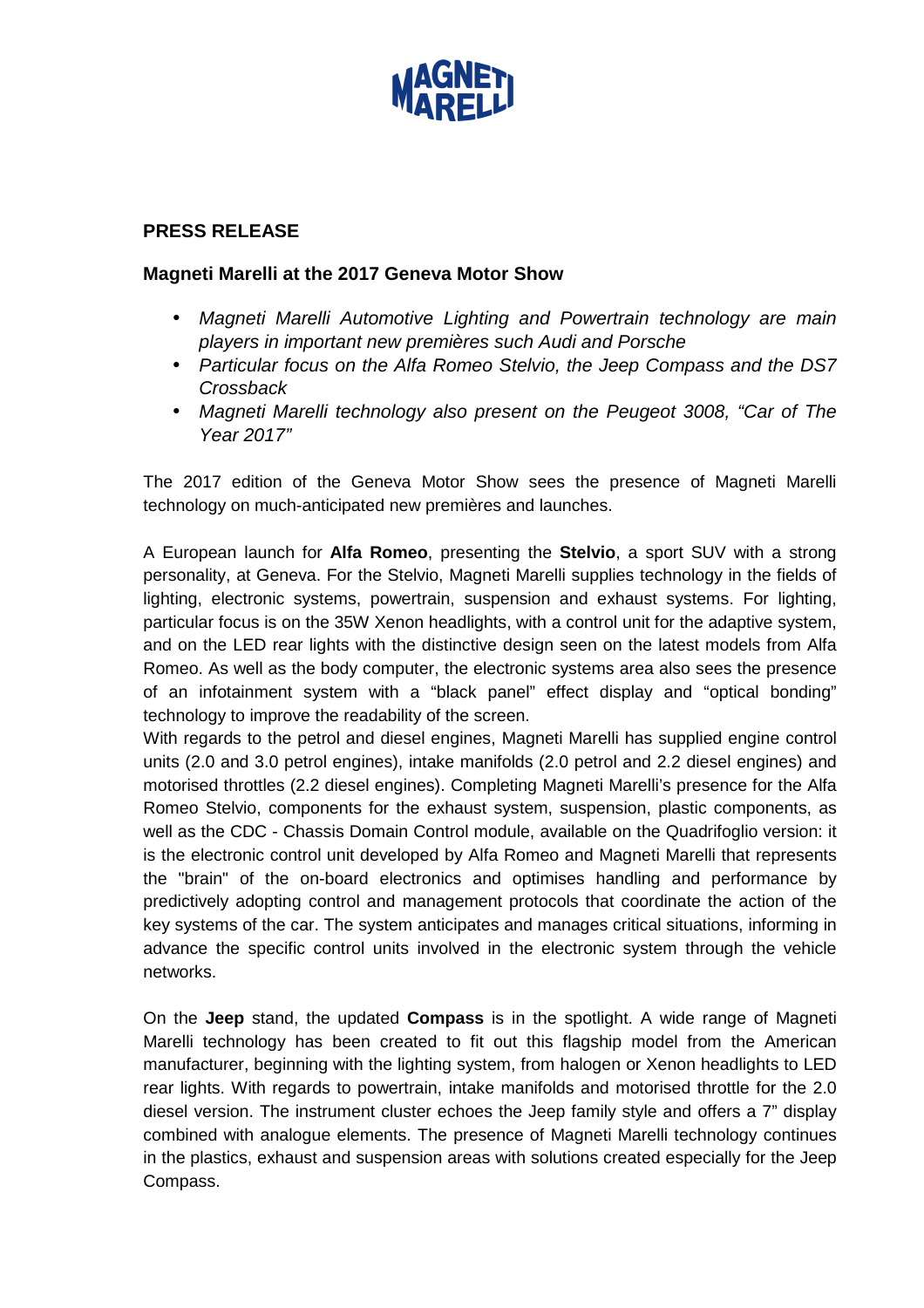

## **PRESS RELEASE**

## **Magneti Marelli at the 2017 Geneva Motor Show**

- Magneti Marelli Automotive Lighting and Powertrain technology are main players in important new premières such Audi and Porsche
- Particular focus on the Alfa Romeo Stelvio, the Jeep Compass and the DS7 **Crossback**
- Magneti Marelli technology also present on the Peugeot 3008, "Car of The Year 2017"

The 2017 edition of the Geneva Motor Show sees the presence of Magneti Marelli technology on much-anticipated new premières and launches.

A European launch for **Alfa Romeo**, presenting the **Stelvio**, a sport SUV with a strong personality, at Geneva. For the Stelvio, Magneti Marelli supplies technology in the fields of lighting, electronic systems, powertrain, suspension and exhaust systems. For lighting, particular focus is on the 35W Xenon headlights, with a control unit for the adaptive system, and on the LED rear lights with the distinctive design seen on the latest models from Alfa Romeo. As well as the body computer, the electronic systems area also sees the presence of an infotainment system with a "black panel" effect display and "optical bonding" technology to improve the readability of the screen.

With regards to the petrol and diesel engines, Magneti Marelli has supplied engine control units (2.0 and 3.0 petrol engines), intake manifolds (2.0 petrol and 2.2 diesel engines) and motorised throttles (2.2 diesel engines). Completing Magneti Marelli's presence for the Alfa Romeo Stelvio, components for the exhaust system, suspension, plastic components, as well as the CDC - Chassis Domain Control module, available on the Quadrifoglio version: it is the electronic control unit developed by Alfa Romeo and Magneti Marelli that represents the "brain" of the on-board electronics and optimises handling and performance by predictively adopting control and management protocols that coordinate the action of the key systems of the car. The system anticipates and manages critical situations, informing in advance the specific control units involved in the electronic system through the vehicle networks.

On the **Jeep** stand, the updated **Compass** is in the spotlight. A wide range of Magneti Marelli technology has been created to fit out this flagship model from the American manufacturer, beginning with the lighting system, from halogen or Xenon headlights to LED rear lights. With regards to powertrain, intake manifolds and motorised throttle for the 2.0 diesel version. The instrument cluster echoes the Jeep family style and offers a 7" display combined with analogue elements. The presence of Magneti Marelli technology continues in the plastics, exhaust and suspension areas with solutions created especially for the Jeep Compass.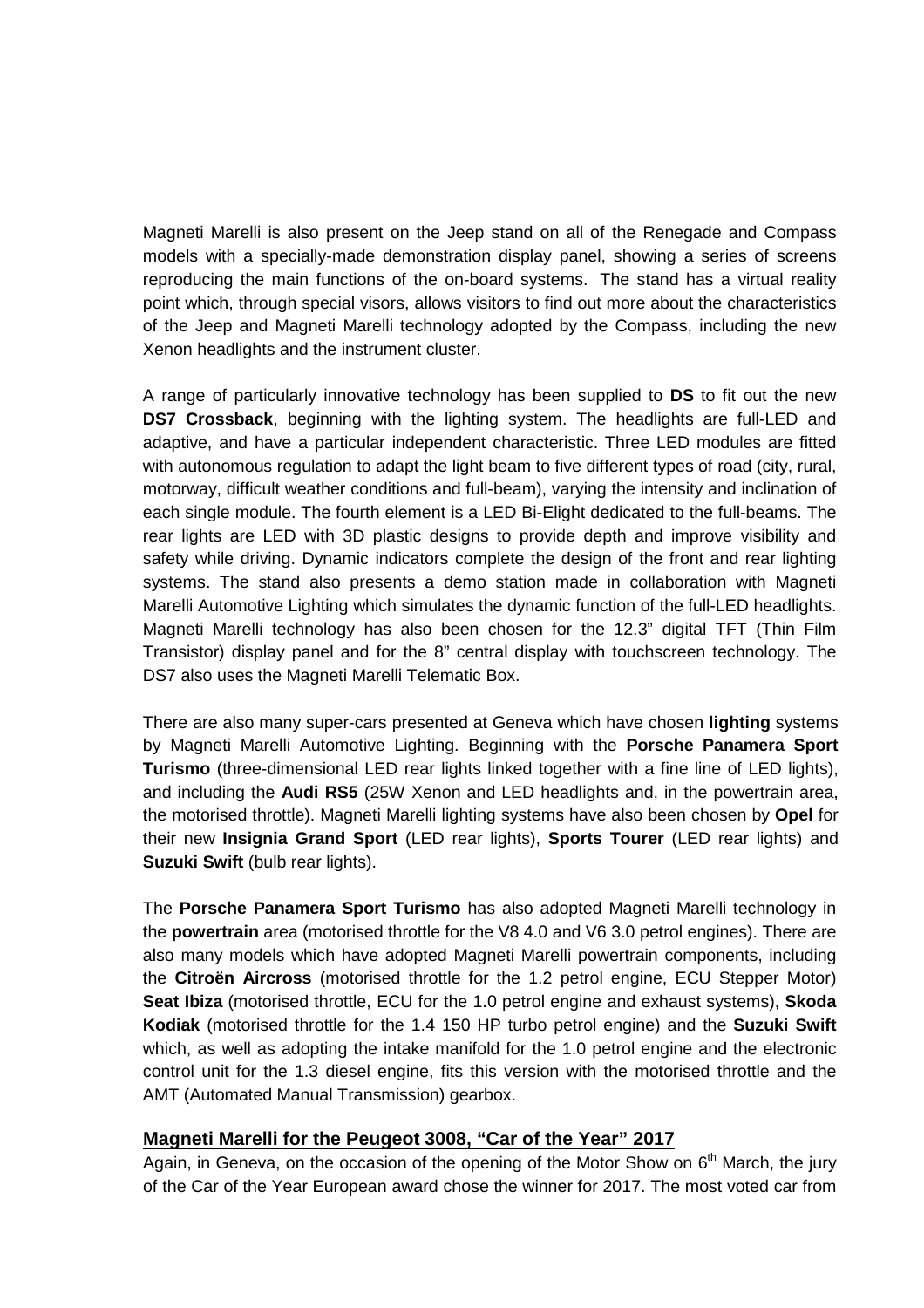Magneti Marelli is also present on the Jeep stand on all of the Renegade and Compass models with a specially-made demonstration display panel, showing a series of screens reproducing the main functions of the on-board systems. The stand has a virtual reality point which, through special visors, allows visitors to find out more about the characteristics of the Jeep and Magneti Marelli technology adopted by the Compass, including the new Xenon headlights and the instrument cluster.

A range of particularly innovative technology has been supplied to **DS** to fit out the new **DS7 Crossback**, beginning with the lighting system. The headlights are full-LED and adaptive, and have a particular independent characteristic. Three LED modules are fitted with autonomous regulation to adapt the light beam to five different types of road (city, rural, motorway, difficult weather conditions and full-beam), varying the intensity and inclination of each single module. The fourth element is a LED Bi-Elight dedicated to the full-beams. The rear lights are LED with 3D plastic designs to provide depth and improve visibility and safety while driving. Dynamic indicators complete the design of the front and rear lighting systems. The stand also presents a demo station made in collaboration with Magneti Marelli Automotive Lighting which simulates the dynamic function of the full-LED headlights. Magneti Marelli technology has also been chosen for the 12.3" digital TFT (Thin Film Transistor) display panel and for the 8" central display with touchscreen technology. The DS7 also uses the Magneti Marelli Telematic Box.

There are also many super-cars presented at Geneva which have chosen **lighting** systems by Magneti Marelli Automotive Lighting. Beginning with the **Porsche Panamera Sport Turismo** (three-dimensional LED rear lights linked together with a fine line of LED lights), and including the **Audi RS5** (25W Xenon and LED headlights and, in the powertrain area, the motorised throttle). Magneti Marelli lighting systems have also been chosen by **Opel** for their new **Insignia Grand Sport** (LED rear lights), **Sports Tourer** (LED rear lights) and Suzuki Swift (bulb rear lights).

The **Porsche Panamera Sport Turismo** has also adopted Magneti Marelli technology in the **powertrain** area (motorised throttle for the V8 4.0 and V6 3.0 petrol engines). There are also many models which have adopted Magneti Marelli powertrain components, including the **Citroën Aircross** (motorised throttle for the 1.2 petrol engine, ECU Stepper Motor) **Seat Ibiza** (motorised throttle, ECU for the 1.0 petrol engine and exhaust systems), **Skoda Kodiak** (motorised throttle for the 1.4 150 HP turbo petrol engine) and the **Suzuki Swift**  which, as well as adopting the intake manifold for the 1.0 petrol engine and the electronic control unit for the 1.3 diesel engine, fits this version with the motorised throttle and the AMT (Automated Manual Transmission) gearbox.

## **Magneti Marelli for the Peugeot 3008, "Car of the Year" 2017**

Again, in Geneva, on the occasion of the opening of the Motor Show on  $6<sup>th</sup>$  March, the jury of the Car of the Year European award chose the winner for 2017. The most voted car from